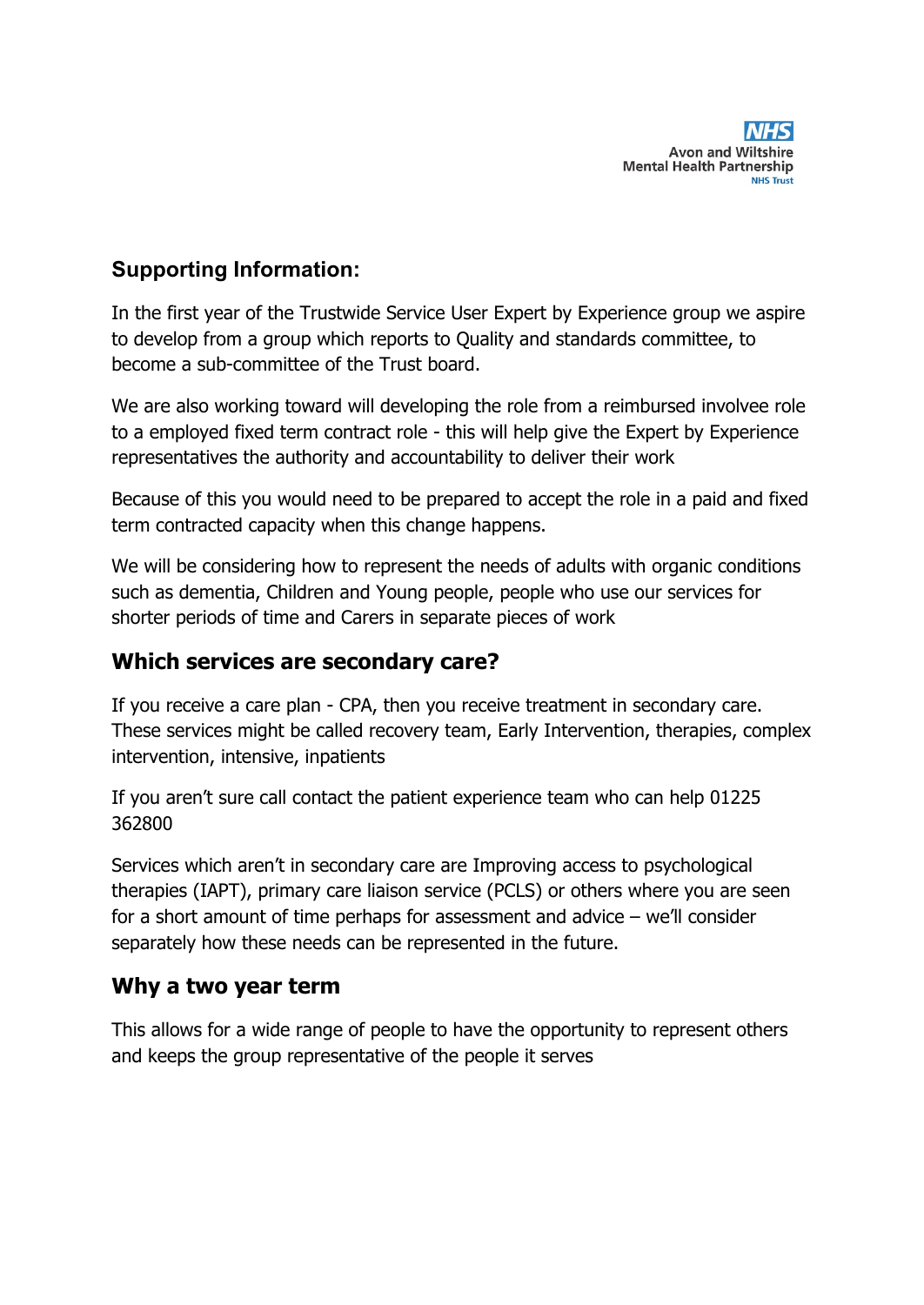

## **Supporting Information:**

In the first year of the Trustwide Service User Expert by Experience group we aspire to develop from a group which reports to Quality and standards committee, to become a sub-committee of the Trust board.

We are also working toward will developing the role from a reimbursed involvee role to a employed fixed term contract role - this will help give the Expert by Experience representatives the authority and accountability to deliver their work

Because of this you would need to be prepared to accept the role in a paid and fixed term contracted capacity when this change happens.

We will be considering how to represent the needs of adults with organic conditions such as dementia, Children and Young people, people who use our services for shorter periods of time and Carers in separate pieces of work

### **Which services are secondary care?**

If you receive a care plan - CPA, then you receive treatment in secondary care. These services might be called recovery team, Early Intervention, therapies, complex intervention, intensive, inpatients

If you aren't sure call contact the patient experience team who can help 01225 362800

Services which aren't in secondary care are Improving access to psychological therapies (IAPT), primary care liaison service (PCLS) or others where you are seen for a short amount of time perhaps for assessment and advice – we'll consider separately how these needs can be represented in the future.

### **Why a two year term**

This allows for a wide range of people to have the opportunity to represent others and keeps the group representative of the people it serves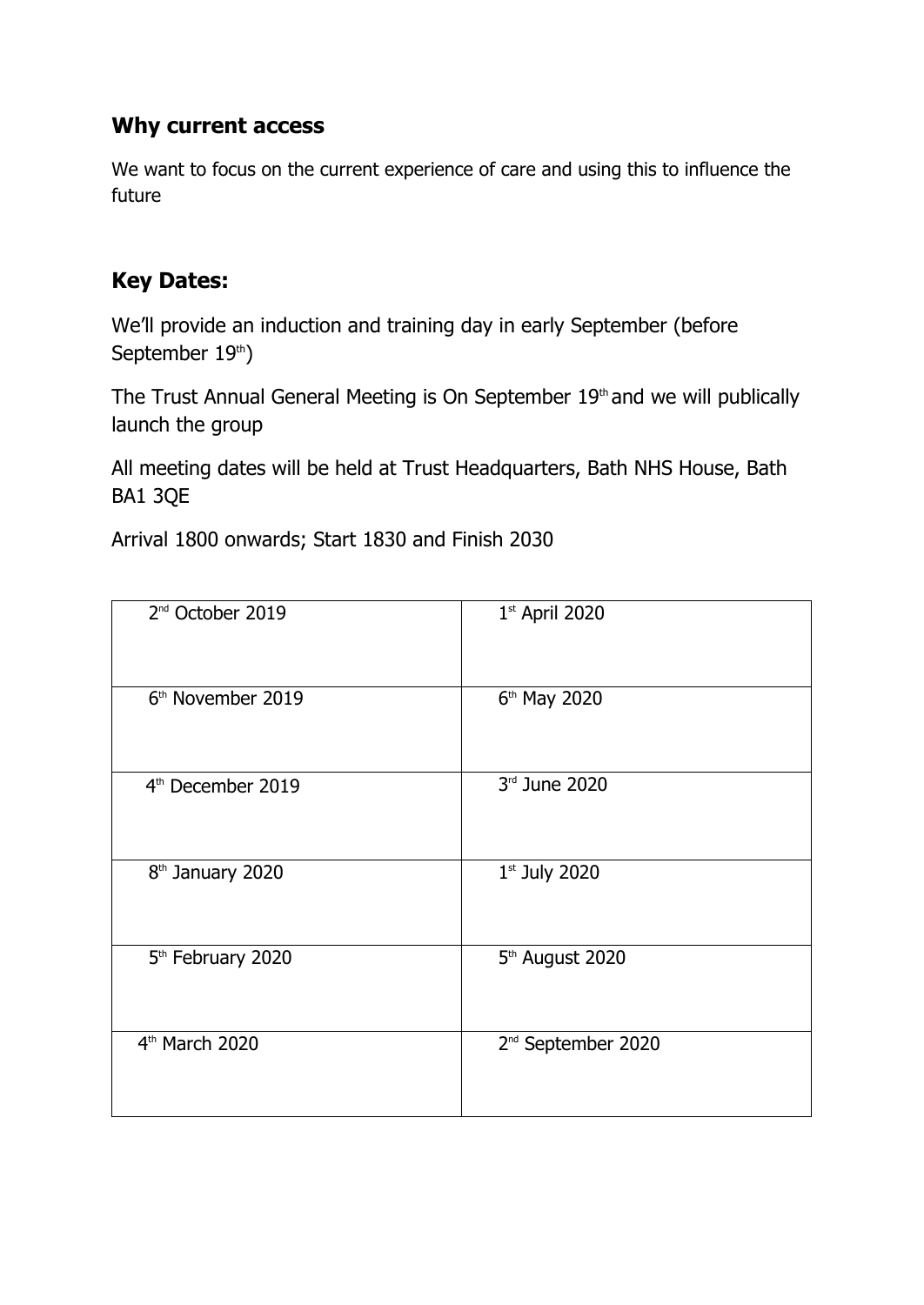## **Why current access**

We want to focus on the current experience of care and using this to influence the future

# **Key Dates:**

We'll provide an induction and training day in early September (before September 19th)

The Trust Annual General Meeting is On September 19<sup>th</sup> and we will publically launch the group

All meeting dates will be held at Trust Headquarters, Bath NHS House, Bath BA1 3QE

Arrival 1800 onwards; Start 1830 and Finish 2030

| 2 <sup>nd</sup> October 2019  | $1st$ April 2020               |
|-------------------------------|--------------------------------|
| 6 <sup>th</sup> November 2019 | 6 <sup>th</sup> May 2020       |
| 4 <sup>th</sup> December 2019 | 3rd June 2020                  |
| 8 <sup>th</sup> January 2020  | $1st$ July 2020                |
| 5 <sup>th</sup> February 2020 | 5 <sup>th</sup> August 2020    |
| 4 <sup>th</sup> March 2020    | 2 <sup>nd</sup> September 2020 |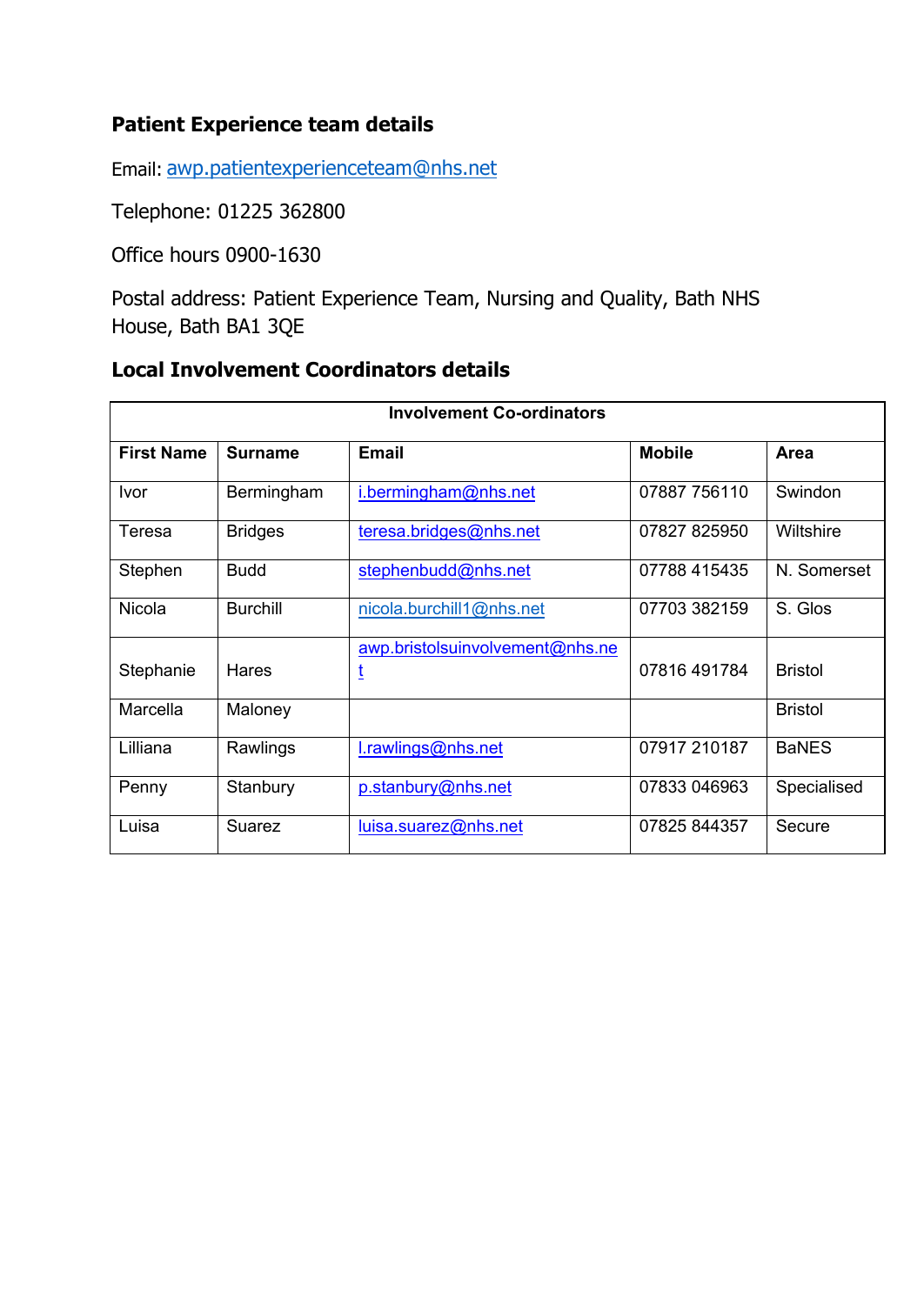### **Patient Experience team details**

Email: awp.patientexperienceteam@nhs.net

Telephone: 01225 362800

Office hours 0900-1630

Postal address: Patient Experience Team, Nursing and Quality, Bath NHS House, Bath BA1 3QE

# **Local Involvement Coordinators details**

| <b>Involvement Co-ordinators</b> |                 |                                 |               |                |
|----------------------------------|-----------------|---------------------------------|---------------|----------------|
| <b>First Name</b>                | <b>Surname</b>  | <b>Email</b>                    | <b>Mobile</b> | Area           |
| <u>Ivor</u>                      | Bermingham      | i.bermingham@nhs.net            | 07887 756110  | Swindon        |
| Teresa                           | <b>Bridges</b>  | teresa.bridges@nhs.net          | 07827 825950  | Wiltshire      |
| Stephen                          | <b>Budd</b>     | stephenbudd@nhs.net             | 07788 415435  | N. Somerset    |
| Nicola                           | <b>Burchill</b> | nicola.burchill1@nhs.net        | 07703 382159  | S. Glos        |
| Stephanie                        | Hares           | awp.bristolsuinvolvement@nhs.ne | 07816 491784  | <b>Bristol</b> |
| Marcella                         | Maloney         |                                 |               | <b>Bristol</b> |
| Lilliana                         | Rawlings        | l.rawlings@nhs.net              | 07917 210187  | <b>BaNES</b>   |
| Penny                            | Stanbury        | p.stanbury@nhs.net              | 07833 046963  | Specialised    |
| Luisa                            | Suarez          | luisa.suarez@nhs.net            | 07825 844357  | Secure         |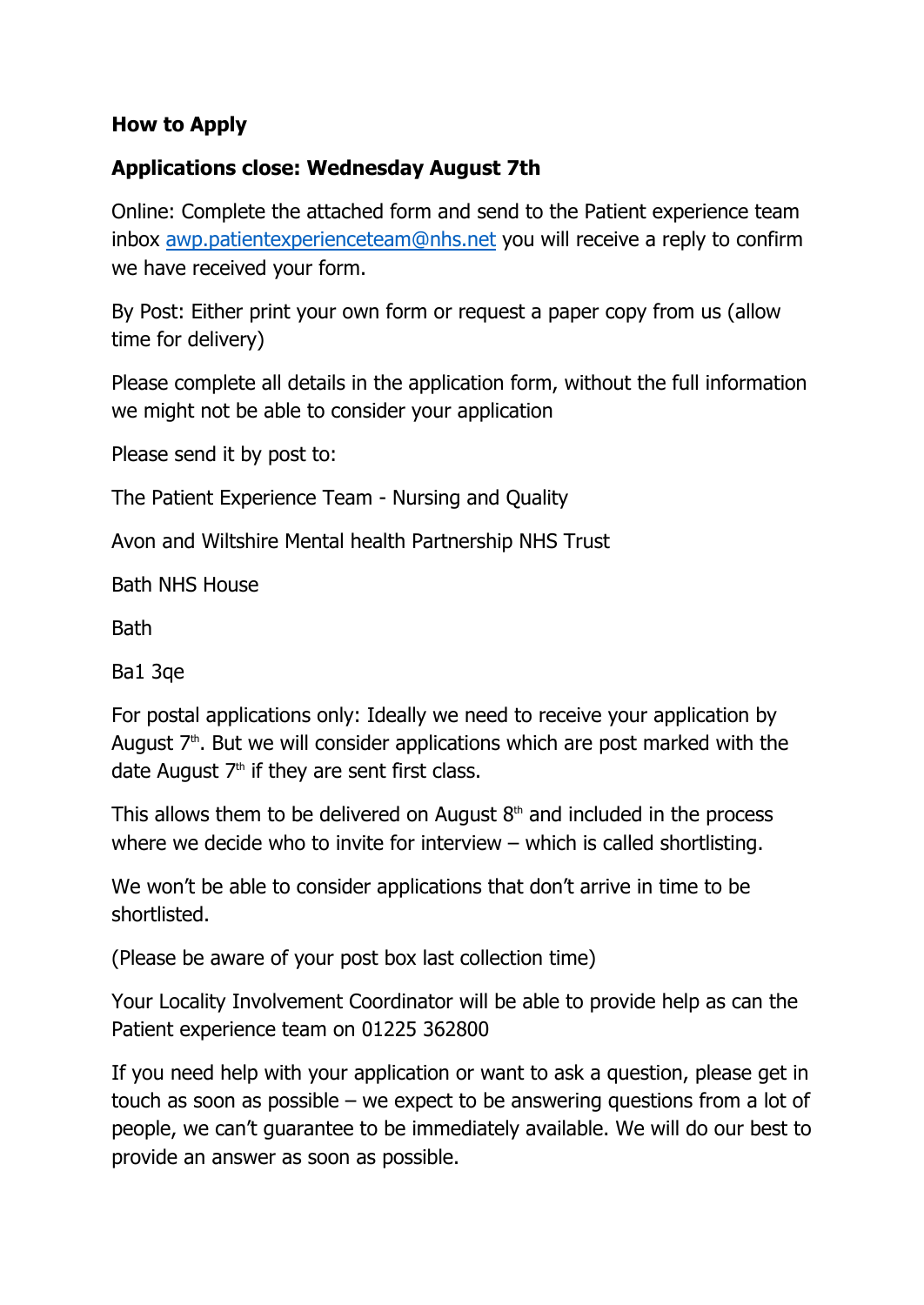### **How to Apply**

### **Applications close: Wednesday August 7th**

Online: Complete the attached form and send to the Patient experience team inbox awp.patientexperienceteam@nhs.net you will receive a reply to confirm we have received your form.

By Post: Either print your own form or request a paper copy from us (allow time for delivery)

Please complete all details in the application form, without the full information we might not be able to consider your application

Please send it by post to:

The Patient Experience Team - Nursing and Quality

Avon and Wiltshire Mental health Partnership NHS Trust

Bath NHS House

**Bath** 

Ba1 3qe

For postal applications only: Ideally we need to receive your application by August  $7<sup>th</sup>$ . But we will consider applications which are post marked with the date August  $7<sup>th</sup>$  if they are sent first class.

This allows them to be delivered on August  $8<sup>th</sup>$  and included in the process where we decide who to invite for interview – which is called shortlisting.

We won't be able to consider applications that don't arrive in time to be shortlisted.

(Please be aware of your post box last collection time)

Your Locality Involvement Coordinator will be able to provide help as can the Patient experience team on 01225 362800

If you need help with your application or want to ask a question, please get in touch as soon as possible – we expect to be answering questions from a lot of people, we can't guarantee to be immediately available. We will do our best to provide an answer as soon as possible.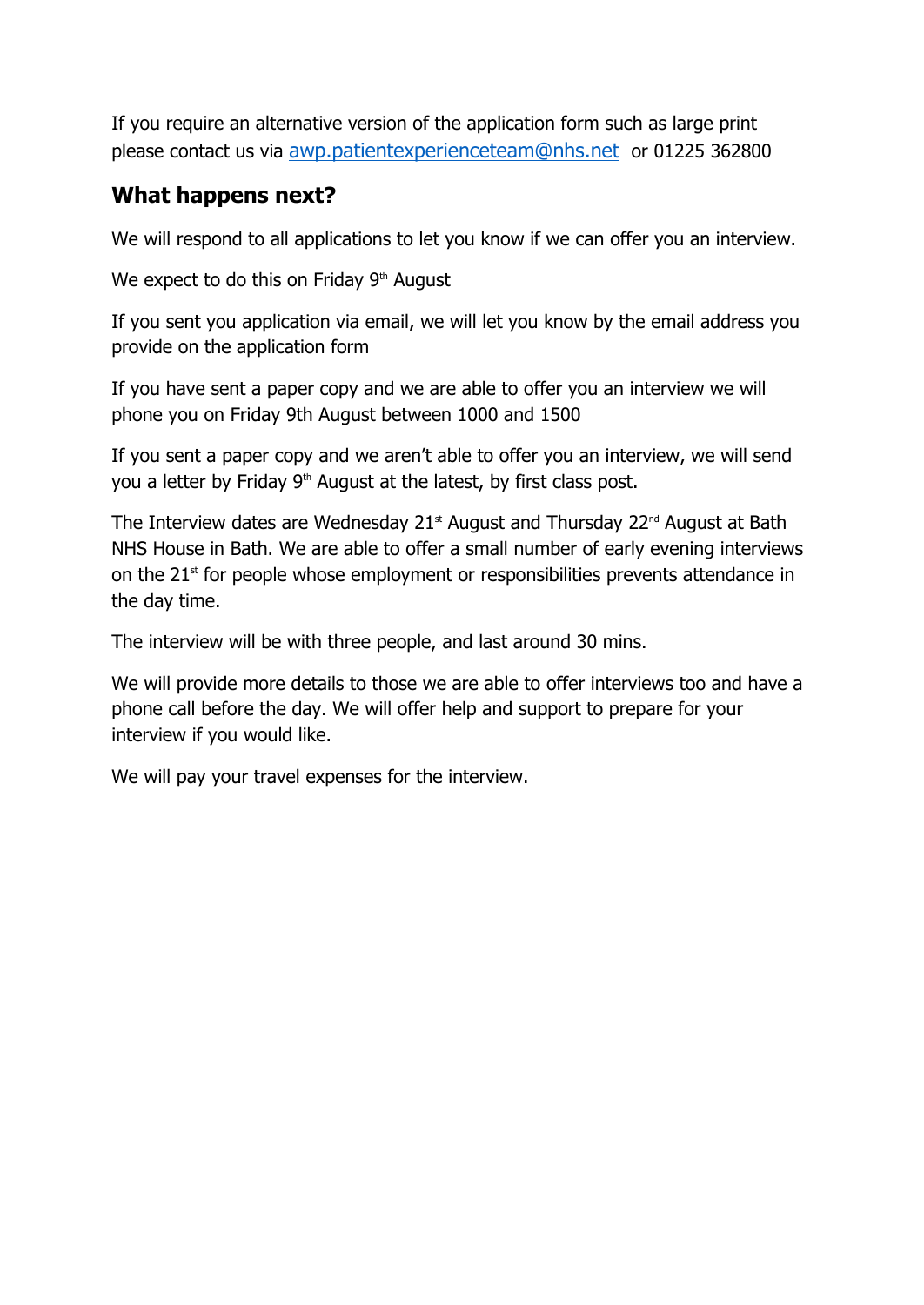If you require an alternative version of the application form such as large print please contact us via awp.patientexperienceteam@nhs.net or 01225 362800

## **What happens next?**

We will respond to all applications to let you know if we can offer you an interview.

We expect to do this on Friday  $9<sup>th</sup>$  August

If you sent you application via email, we will let you know by the email address you provide on the application form

If you have sent a paper copy and we are able to offer you an interview we will phone you on Friday 9th August between 1000 and 1500

If you sent a paper copy and we aren't able to offer you an interview, we will send you a letter by Friday 9<sup>th</sup> August at the latest, by first class post.

The Interview dates are Wednesday  $21<sup>st</sup>$  August and Thursday  $22<sup>nd</sup>$  August at Bath NHS House in Bath. We are able to offer a small number of early evening interviews on the  $21<sup>st</sup>$  for people whose employment or responsibilities prevents attendance in the day time.

The interview will be with three people, and last around 30 mins.

We will provide more details to those we are able to offer interviews too and have a phone call before the day. We will offer help and support to prepare for your interview if you would like.

We will pay your travel expenses for the interview.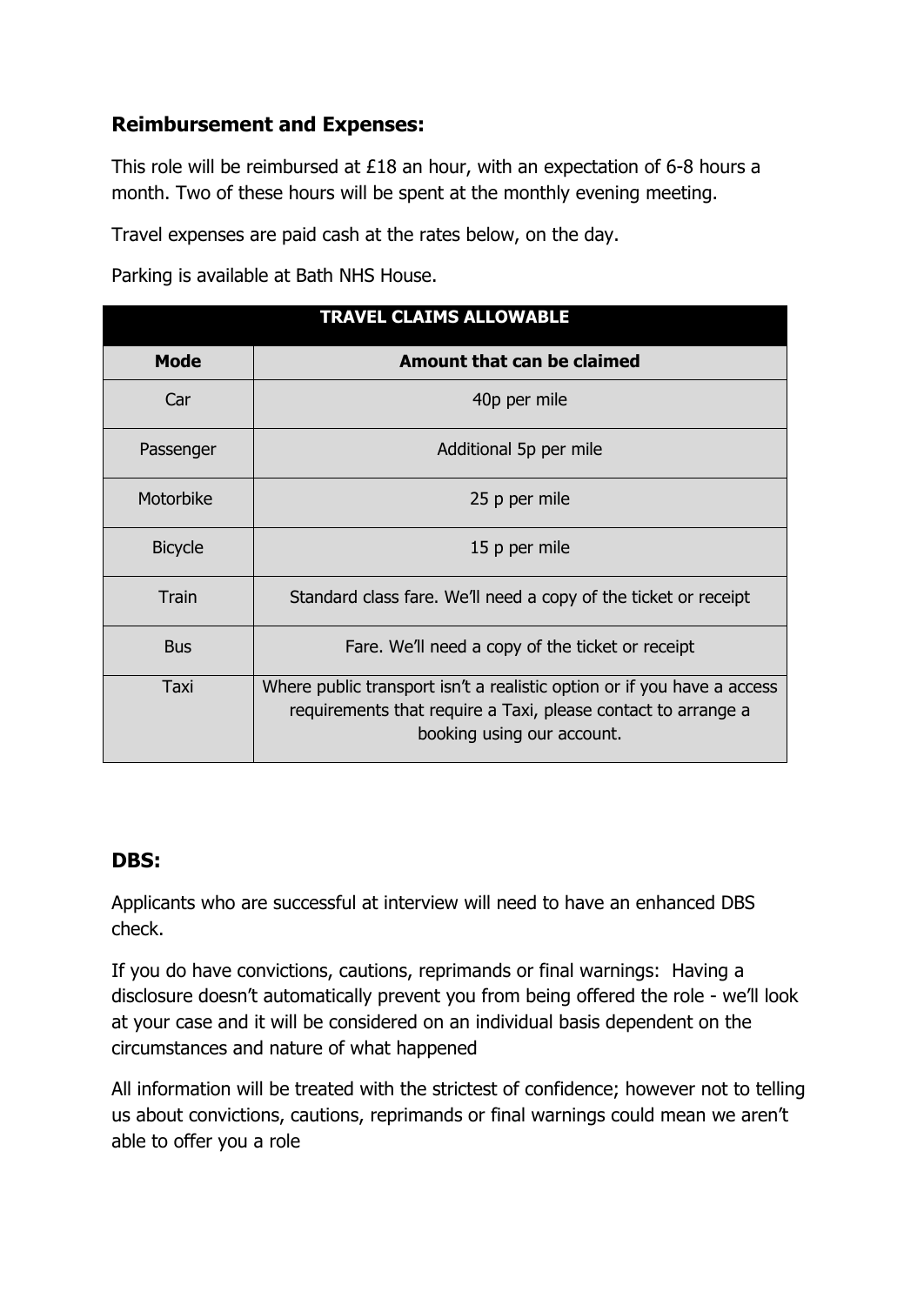### **Reimbursement and Expenses:**

This role will be reimbursed at £18 an hour, with an expectation of 6-8 hours a month. Two of these hours will be spent at the monthly evening meeting.

Travel expenses are paid cash at the rates below, on the day.

Parking is available at Bath NHS House.

|                | <b>TRAVEL CLAIMS ALLOWABLE</b>                                                                                                                                         |  |  |
|----------------|------------------------------------------------------------------------------------------------------------------------------------------------------------------------|--|--|
| <b>Mode</b>    | Amount that can be claimed                                                                                                                                             |  |  |
| Car            | 40p per mile                                                                                                                                                           |  |  |
| Passenger      | Additional 5p per mile                                                                                                                                                 |  |  |
| Motorbike      | 25 p per mile                                                                                                                                                          |  |  |
| <b>Bicycle</b> | 15 p per mile                                                                                                                                                          |  |  |
| <b>Train</b>   | Standard class fare. We'll need a copy of the ticket or receipt                                                                                                        |  |  |
| <b>Bus</b>     | Fare. We'll need a copy of the ticket or receipt                                                                                                                       |  |  |
| Taxi           | Where public transport isn't a realistic option or if you have a access<br>requirements that require a Taxi, please contact to arrange a<br>booking using our account. |  |  |

#### **DBS:**

Applicants who are successful at interview will need to have an enhanced DBS check.

If you do have convictions, cautions, reprimands or final warnings: Having a disclosure doesn't automatically prevent you from being offered the role - we'll look at your case and it will be considered on an individual basis dependent on the circumstances and nature of what happened

All information will be treated with the strictest of confidence; however not to telling us about convictions, cautions, reprimands or final warnings could mean we aren't able to offer you a role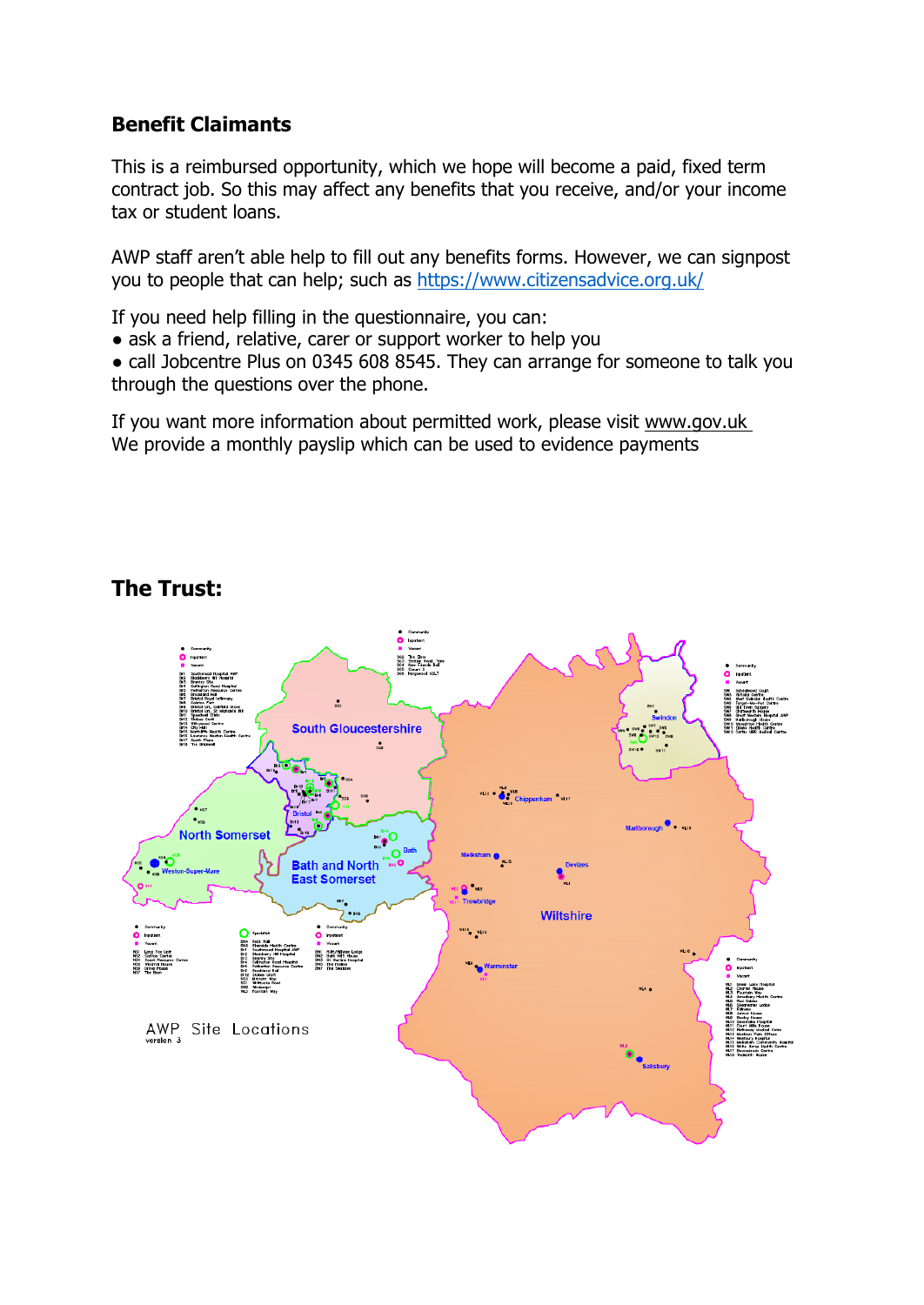#### **Benefit Claimants**

This is a reimbursed opportunity, which we hope will become a paid, fixed term contract job. So this may affect any benefits that you receive, and/or your income tax or student loans.

AWP staff aren't able help to fill out any benefits forms. However, we can signpost you to people that can help; such as https://www.citizensadvice.org.uk/

If you need help filling in the questionnaire, you can:

• ask a friend, relative, carer or support worker to help you

• call Jobcentre Plus on 0345 608 8545. They can arrange for someone to talk you through the questions over the phone.

If you want more information about permitted work, please visit www.gov.uk We provide a monthly payslip which can be used to evidence payments



# **The Trust:**